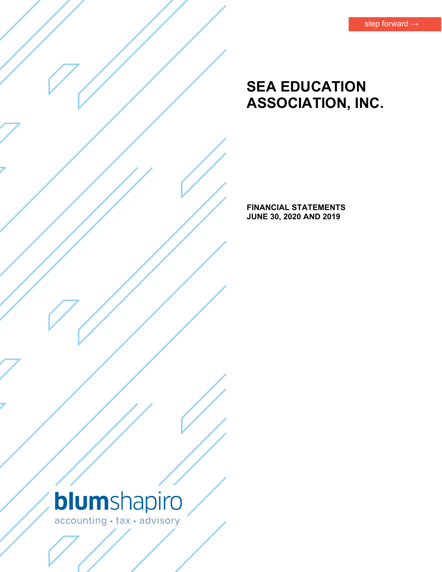**FINANCIAL STATEMENTS JUNE 30, 2020 AND 2019** 

# blumshapiro accounting · tax · advisory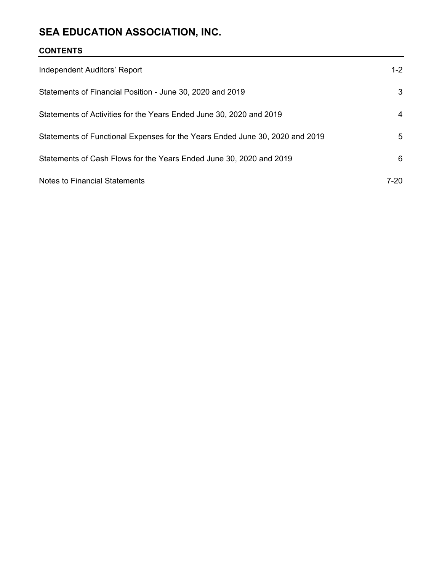### **CONTENTS**

| Independent Auditors' Report                                                 | $1 - 2$ |
|------------------------------------------------------------------------------|---------|
| Statements of Financial Position - June 30, 2020 and 2019                    | 3       |
| Statements of Activities for the Years Ended June 30, 2020 and 2019          | 4       |
| Statements of Functional Expenses for the Years Ended June 30, 2020 and 2019 | 5       |
| Statements of Cash Flows for the Years Ended June 30, 2020 and 2019          | 6       |
| Notes to Financial Statements                                                | 7-20    |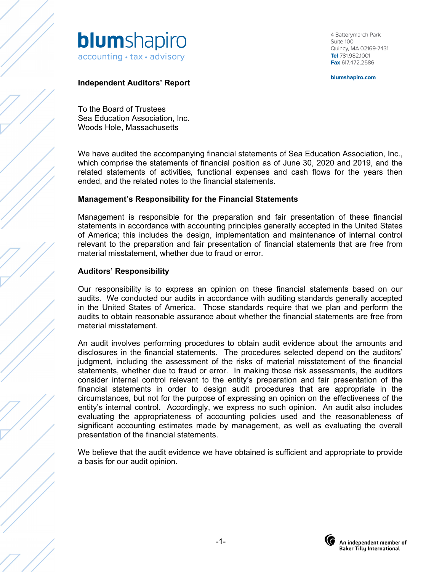

4 Batterymarch Park Suite 100 Quincy, MA 02169-7431 Tel 781.982.1001 **Fax** 617.472.2586

**blumshapiro.com** 

#### **Independent Auditors' Report**

To the Board of Trustees Sea Education Association, Inc. Woods Hole, Massachusetts

We have audited the accompanying financial statements of Sea Education Association, Inc., which comprise the statements of financial position as of June 30, 2020 and 2019, and the related statements of activities*,* functional expenses and cash flows for the years then ended, and the related notes to the financial statements.

#### **Management's Responsibility for the Financial Statements**

Management is responsible for the preparation and fair presentation of these financial statements in accordance with accounting principles generally accepted in the United States of America; this includes the design, implementation and maintenance of internal control relevant to the preparation and fair presentation of financial statements that are free from material misstatement, whether due to fraud or error.

#### **Auditors' Responsibility**

Our responsibility is to express an opinion on these financial statements based on our audits. We conducted our audits in accordance with auditing standards generally accepted in the United States of America. Those standards require that we plan and perform the audits to obtain reasonable assurance about whether the financial statements are free from material misstatement.

An audit involves performing procedures to obtain audit evidence about the amounts and disclosures in the financial statements. The procedures selected depend on the auditors' judgment, including the assessment of the risks of material misstatement of the financial statements, whether due to fraud or error. In making those risk assessments, the auditors consider internal control relevant to the entity's preparation and fair presentation of the financial statements in order to design audit procedures that are appropriate in the circumstances, but not for the purpose of expressing an opinion on the effectiveness of the entity's internal control. Accordingly, we express no such opinion. An audit also includes evaluating the appropriateness of accounting policies used and the reasonableness of significant accounting estimates made by management, as well as evaluating the overall presentation of the financial statements.

We believe that the audit evidence we have obtained is sufficient and appropriate to provide a basis for our audit opinion.

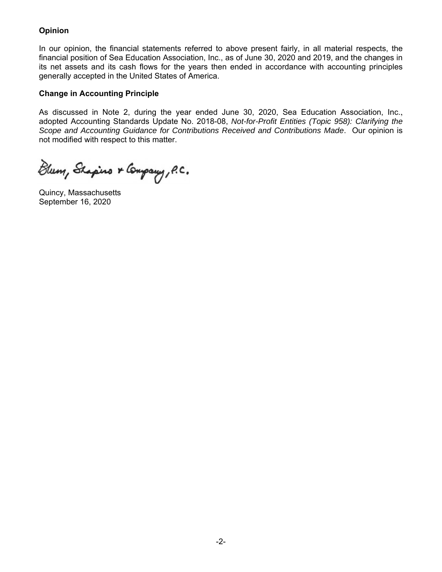#### **Opinion**

In our opinion, the financial statements referred to above present fairly, in all material respects, the financial position of Sea Education Association, Inc., as of June 30, 2020 and 2019, and the changes in its net assets and its cash flows for the years then ended in accordance with accounting principles generally accepted in the United States of America.

#### **Change in Accounting Principle**

As discussed in Note 2, during the year ended June 30, 2020, Sea Education Association, Inc., adopted Accounting Standards Update No. 2018-08, *Not-for-Profit Entities (Topic 958): Clarifying the Scope and Accounting Guidance for Contributions Received and Contributions Made*. Our opinion is not modified with respect to this matter.

Blum, Shapino & Company, P.C.

Quincy, Massachusetts September 16, 2020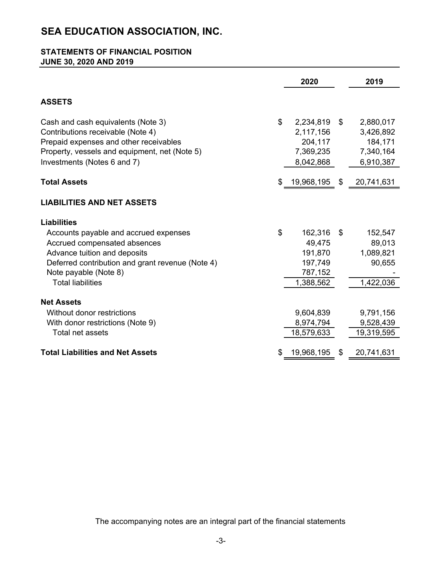#### **STATEMENTS OF FINANCIAL POSITION JUNE 30, 2020 AND 2019**

|                                                  | 2020          | 2019             |
|--------------------------------------------------|---------------|------------------|
| <b>ASSETS</b>                                    |               |                  |
| \$<br>Cash and cash equivalents (Note 3)         | 2,234,819     | \$<br>2,880,017  |
| Contributions receivable (Note 4)                | 2,117,156     | 3,426,892        |
| Prepaid expenses and other receivables           | 204,117       | 184,171          |
| Property, vessels and equipment, net (Note 5)    | 7,369,235     | 7,340,164        |
| Investments (Notes 6 and 7)                      | 8,042,868     | 6,910,387        |
| <b>Total Assets</b><br>\$                        | 19,968,195 \$ | 20,741,631       |
| <b>LIABILITIES AND NET ASSETS</b>                |               |                  |
| <b>Liabilities</b>                               |               |                  |
| \$<br>Accounts payable and accrued expenses      | 162,316       | \$<br>152,547    |
| Accrued compensated absences                     | 49,475        | 89,013           |
| Advance tuition and deposits                     | 191,870       | 1,089,821        |
| Deferred contribution and grant revenue (Note 4) | 197,749       | 90,655           |
| Note payable (Note 8)                            | 787,152       |                  |
| <b>Total liabilities</b>                         | 1,388,562     | 1,422,036        |
| <b>Net Assets</b>                                |               |                  |
| Without donor restrictions                       | 9,604,839     | 9,791,156        |
| With donor restrictions (Note 9)                 | 8,974,794     | 9,528,439        |
| Total net assets                                 | 18,579,633    | 19,319,595       |
| <b>Total Liabilities and Net Assets</b><br>\$    | 19,968,195    | \$<br>20,741,631 |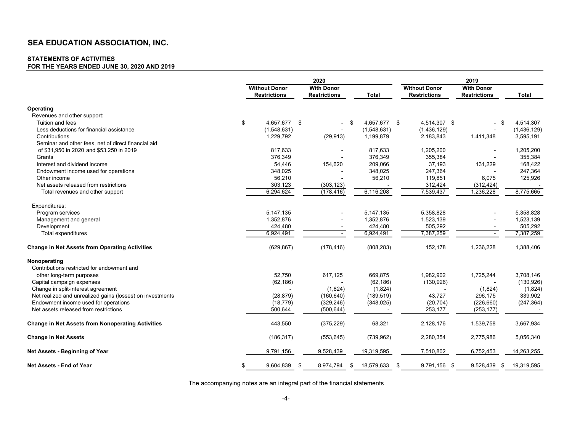#### **STATEMENTS OF ACTIVITIES**

#### **FOR THE YEARS ENDED JUNE 30, 2020 AND 2019**

|                                                           |                                             | 2020                                     |    |               |                                             |                                          |              |  |
|-----------------------------------------------------------|---------------------------------------------|------------------------------------------|----|---------------|---------------------------------------------|------------------------------------------|--------------|--|
|                                                           | <b>Without Donor</b><br><b>Restrictions</b> | <b>With Donor</b><br><b>Restrictions</b> |    | <b>Total</b>  | <b>Without Donor</b><br><b>Restrictions</b> | <b>With Donor</b><br><b>Restrictions</b> | <b>Total</b> |  |
| Operating                                                 |                                             |                                          |    |               |                                             |                                          |              |  |
| Revenues and other support:                               |                                             |                                          |    |               |                                             |                                          |              |  |
| Tuition and fees                                          | \$<br>4,657,677 \$                          |                                          | \$ | 4,657,677 \$  | 4,514,307 \$                                | - \$                                     | 4,514,307    |  |
| Less deductions for financial assistance                  | (1,548,631)                                 |                                          |    | (1,548,631)   | (1,436,129)                                 |                                          | (1,436,129)  |  |
| Contributions                                             | 1,229,792                                   | (29, 913)                                |    | 1,199,879     | 2,183,843                                   | 1,411,348                                | 3,595,191    |  |
| Seminar and other fees, net of direct financial aid       |                                             |                                          |    |               |                                             |                                          |              |  |
| of \$31,950 in 2020 and \$53,250 in 2019                  | 817,633                                     |                                          |    | 817,633       | 1,205,200                                   |                                          | 1,205,200    |  |
| Grants                                                    | 376,349                                     |                                          |    | 376,349       | 355,384                                     |                                          | 355,384      |  |
| Interest and dividend income                              | 54,446                                      | 154,620                                  |    | 209,066       | 37,193                                      | 131,229                                  | 168.422      |  |
| Endowment income used for operations                      | 348,025                                     |                                          |    | 348,025       | 247,364                                     |                                          | 247,364      |  |
| Other income                                              | 56,210                                      |                                          |    | 56,210        | 119,851                                     | 6.075                                    | 125,926      |  |
| Net assets released from restrictions                     | 303,123                                     | (303, 123)                               |    |               | 312,424                                     | (312, 424)                               |              |  |
| Total revenues and other support                          | 6,294,624                                   | (178, 416)                               |    | 6,116,208     | 7,539,437                                   | 1,236,228                                | 8,775,665    |  |
| Expenditures:                                             |                                             |                                          |    |               |                                             |                                          |              |  |
| Program services                                          | 5,147,135                                   |                                          |    | 5,147,135     | 5,358,828                                   |                                          | 5,358,828    |  |
| Management and general                                    | 1,352,876                                   |                                          |    | 1,352,876     | 1,523,139                                   |                                          | 1,523,139    |  |
| Development                                               | 424,480                                     |                                          |    | 424,480       | 505,292                                     |                                          | 505,292      |  |
| <b>Total expenditures</b>                                 | 6,924,491                                   | $\sim$                                   |    | 6,924,491     | 7,387,259                                   | $\sim$                                   | 7,387,259    |  |
| <b>Change in Net Assets from Operating Activities</b>     | (629, 867)                                  | (178, 416)                               |    | (808, 283)    | 152,178                                     | 1,236,228                                | 1,388,406    |  |
| Nonoperating                                              |                                             |                                          |    |               |                                             |                                          |              |  |
| Contributions restricted for endowment and                |                                             |                                          |    |               |                                             |                                          |              |  |
| other long-term purposes                                  | 52,750                                      | 617,125                                  |    | 669,875       | 1,982,902                                   | 1,725,244                                | 3,708,146    |  |
| Capital campaign expenses                                 | (62, 186)                                   |                                          |    | (62, 186)     | (130, 926)                                  |                                          | (130, 926)   |  |
| Change in split-interest agreement                        |                                             | (1,824)                                  |    | (1,824)       |                                             | (1,824)                                  | (1,824)      |  |
| Net realized and unrealized gains (losses) on investments | (28, 879)                                   | (160, 640)                               |    | (189, 519)    | 43,727                                      | 296,175                                  | 339,902      |  |
| Endowment income used for operations                      | (18, 779)                                   | (329, 246)                               |    | (348, 025)    | (20, 704)                                   | (226, 660)                               | (247, 364)   |  |
| Net assets released from restrictions                     | 500,644                                     | (500, 644)                               |    |               | 253,177                                     | (253, 177)                               |              |  |
| <b>Change in Net Assets from Nonoperating Activities</b>  | 443,550                                     | (375, 229)                               |    | 68,321        | 2,128,176                                   | 1,539,758                                | 3,667,934    |  |
| <b>Change in Net Assets</b>                               | (186, 317)                                  | (553, 645)                               |    | (739, 962)    | 2,280,354                                   | 2,775,986                                | 5,056,340    |  |
| Net Assets - Beginning of Year                            | 9,791,156                                   | 9,528,439                                |    | 19,319,595    | 7,510,802                                   | 6,752,453                                | 14,263,255   |  |
| Net Assets - End of Year                                  | \$<br>9,604,839                             | 8,974,794<br>\$                          | \$ | 18,579,633 \$ | 9,791,156 \$                                | 9,528,439 \$                             | 19,319,595   |  |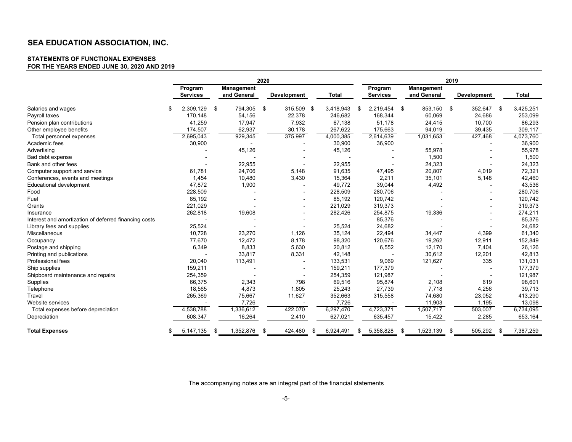#### **STATEMENTS OF FUNCTIONAL EXPENSESFOR THE YEARS ENDED JUNE 30, 2020 AND 2019**

|                                                       |    |                            |                                  | 2020 |                    |                  | 2019  |                            |      |                                  |      |             |       |           |        |  |  |  |  |  |  |  |  |  |  |  |  |              |
|-------------------------------------------------------|----|----------------------------|----------------------------------|------|--------------------|------------------|-------|----------------------------|------|----------------------------------|------|-------------|-------|-----------|--------|--|--|--|--|--|--|--|--|--|--|--|--|--------------|
|                                                       |    | Program<br><b>Services</b> | <b>Management</b><br>and General |      | <b>Development</b> | <b>Total</b>     |       | Program<br><b>Services</b> |      | <b>Management</b><br>and General |      | Development |       |           |        |  |  |  |  |  |  |  |  |  |  |  |  | <b>Total</b> |
|                                                       |    |                            |                                  |      |                    |                  |       |                            |      |                                  |      |             |       |           |        |  |  |  |  |  |  |  |  |  |  |  |  |              |
| Salaries and wages                                    | S  | 2,309,129                  | \$<br>794,305                    | - \$ | 315,509 \$         | 3,418,943        | \$    | 2,219,454                  | - \$ | 853,150                          | - \$ | 352,647     | -\$   | 3,425,251 |        |  |  |  |  |  |  |  |  |  |  |  |  |              |
| Payroll taxes                                         |    | 170,148                    | 54,156                           |      | 22,378             | 246,682          |       | 168,344                    |      | 60,069                           |      | 24,686      |       | 253,099   |        |  |  |  |  |  |  |  |  |  |  |  |  |              |
| Pension plan contributions                            |    | 41,259                     | 17,947                           |      | 7,932              | 67,138           |       | 51,178                     |      | 24,415                           |      | 10,700      |       | 86,293    |        |  |  |  |  |  |  |  |  |  |  |  |  |              |
| Other employee benefits                               |    | 174,507                    | 62,937                           |      | 30,178             | 267,622          |       | 175,663                    |      | 94,019                           |      | 39,435      |       | 309,117   |        |  |  |  |  |  |  |  |  |  |  |  |  |              |
| Total personnel expenses                              |    | 2,695,043                  | 929,345                          |      | 375,997            | 4,000,385        |       | 2,614,639                  |      | 1,031,653                        |      | 427,468     |       | 4,073,760 |        |  |  |  |  |  |  |  |  |  |  |  |  |              |
| Academic fees                                         |    | 30,900                     |                                  |      |                    | 30,900           |       | 36,900                     |      |                                  |      |             |       | 36,900    |        |  |  |  |  |  |  |  |  |  |  |  |  |              |
| Advertising                                           |    |                            | 45,126                           |      |                    | 45,126           |       |                            |      | 55,978                           |      |             |       | 55,978    |        |  |  |  |  |  |  |  |  |  |  |  |  |              |
| Bad debt expense                                      |    |                            |                                  |      |                    | 1,500            |       |                            |      |                                  |      |             | 1,500 |           |        |  |  |  |  |  |  |  |  |  |  |  |  |              |
| Bank and other fees                                   |    |                            | 22,955                           |      |                    | 22,955           |       |                            |      | 24,323                           |      |             |       | 24,323    |        |  |  |  |  |  |  |  |  |  |  |  |  |              |
| Computer support and service                          |    | 61,781                     | 24,706                           |      | 5,148              | 91,635           |       | 47,495                     |      | 20,807                           |      | 4,019       |       | 72,321    |        |  |  |  |  |  |  |  |  |  |  |  |  |              |
| Conferences, events and meetings                      |    | 1,454                      | 10,480                           |      | 3,430              | 15,364           |       | 2,211                      |      | 35,101                           |      | 5,148       |       | 42,460    |        |  |  |  |  |  |  |  |  |  |  |  |  |              |
| Educational development                               |    | 47,872                     | 1,900                            |      |                    | 49,772<br>39,044 | 4,492 |                            |      |                                  |      |             |       |           | 43,536 |  |  |  |  |  |  |  |  |  |  |  |  |              |
| Food                                                  |    | 228,509                    |                                  |      |                    | 228,509          |       | 280,706                    |      |                                  |      |             |       | 280,706   |        |  |  |  |  |  |  |  |  |  |  |  |  |              |
| Fuel                                                  |    | 85,192                     |                                  |      |                    | 85,192           |       | 120,742                    |      |                                  |      |             |       | 120,742   |        |  |  |  |  |  |  |  |  |  |  |  |  |              |
| Grants                                                |    | 221,029                    |                                  |      |                    | 221,029          |       | 319,373                    |      |                                  |      |             |       | 319,373   |        |  |  |  |  |  |  |  |  |  |  |  |  |              |
| Insurance                                             |    | 262,818                    | 19,608                           |      |                    | 282,426          |       | 254,875                    |      | 19,336                           |      |             |       | 274,211   |        |  |  |  |  |  |  |  |  |  |  |  |  |              |
| Interest and amortization of deferred financing costs |    |                            |                                  |      |                    |                  |       | 85,376                     |      |                                  |      |             |       | 85,376    |        |  |  |  |  |  |  |  |  |  |  |  |  |              |
| Library fees and supplies                             |    | 25,524                     |                                  |      |                    | 25,524           |       | 24,682                     |      |                                  |      |             |       | 24,682    |        |  |  |  |  |  |  |  |  |  |  |  |  |              |
| Miscellaneous                                         |    | 10,728                     | 23,270                           |      | 1,126              | 35,124           |       | 22,494                     |      | 34,447                           |      | 4,399       |       | 61,340    |        |  |  |  |  |  |  |  |  |  |  |  |  |              |
| Occupancy                                             |    | 77,670                     | 12,472                           |      | 8.178              | 98,320           |       | 120,676                    |      | 19,262                           |      | 12,911      |       | 152,849   |        |  |  |  |  |  |  |  |  |  |  |  |  |              |
| Postage and shipping                                  |    | 6,349                      | 8,833                            |      | 5,630              | 20,812           |       | 6,552                      |      | 12,170                           |      | 7,404       |       | 26,126    |        |  |  |  |  |  |  |  |  |  |  |  |  |              |
| Printing and publications                             |    |                            | 33,817                           |      | 8,331              | 42,148           |       |                            |      | 30,612                           |      | 12,201      |       | 42,813    |        |  |  |  |  |  |  |  |  |  |  |  |  |              |
| Professional fees                                     |    | 20,040                     | 113,491                          |      |                    | 133,531          |       | 9,069                      |      | 121,627                          |      | 335         |       | 131,031   |        |  |  |  |  |  |  |  |  |  |  |  |  |              |
| Ship supplies                                         |    | 159,211                    |                                  |      |                    | 159,211          |       | 177,379                    |      |                                  |      |             |       | 177,379   |        |  |  |  |  |  |  |  |  |  |  |  |  |              |
| Shipboard maintenance and repairs                     |    | 254,359                    |                                  |      |                    | 254,359          |       | 121,987                    |      |                                  |      |             |       | 121,987   |        |  |  |  |  |  |  |  |  |  |  |  |  |              |
| Supplies                                              |    | 66,375                     | 2,343                            |      | 798                | 69,516           |       | 95,874                     |      | 2,108                            |      | 619         |       | 98,601    |        |  |  |  |  |  |  |  |  |  |  |  |  |              |
| Telephone                                             |    | 18,565                     | 4,873                            |      | 1,805              | 25,243           |       | 27,739                     |      | 7,718                            |      | 4,256       |       | 39,713    |        |  |  |  |  |  |  |  |  |  |  |  |  |              |
| Travel                                                |    | 265,369                    | 75,667                           |      | 11,627             | 352,663          |       | 315,558                    |      | 74,680                           |      | 23,052      |       | 413,290   |        |  |  |  |  |  |  |  |  |  |  |  |  |              |
| Website services                                      |    |                            | 7,726                            |      |                    | 7,726            |       |                            |      | 11,903                           |      | 1,195       |       | 13,098    |        |  |  |  |  |  |  |  |  |  |  |  |  |              |
| Total expenses before depreciation                    |    | 4,538,788                  | 1,336,612                        |      | 422,070            | 6,297,470        |       | 4,723,371                  |      | 1,507,717                        |      | 503,007     |       | 6,734,095 |        |  |  |  |  |  |  |  |  |  |  |  |  |              |
| Depreciation                                          |    | 608,347                    | 16,264                           |      | 2,410              | 627,021          |       | 635,457                    |      | 15,422                           |      | 2,285       |       | 653,164   |        |  |  |  |  |  |  |  |  |  |  |  |  |              |
| <b>Total Expenses</b>                                 | \$ | 5,147,135                  | \$<br>1,352,876                  | \$   | 424,480            | \$<br>6,924,491  | \$    | 5,358,828                  | \$   | 1,523,139                        | \$   | 505,292     | \$    | 7,387,259 |        |  |  |  |  |  |  |  |  |  |  |  |  |              |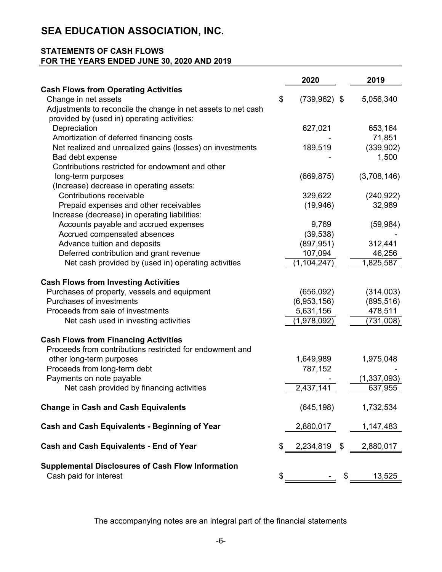#### **STATEMENTS OF CASH FLOWS FOR THE YEARS ENDED JUNE 30, 2020 AND 2019**

|                                                                                    | 2020                  | 2019          |
|------------------------------------------------------------------------------------|-----------------------|---------------|
| <b>Cash Flows from Operating Activities</b>                                        |                       |               |
| Change in net assets                                                               | \$<br>$(739, 962)$ \$ | 5,056,340     |
| Adjustments to reconcile the change in net assets to net cash                      |                       |               |
| provided by (used in) operating activities:                                        |                       |               |
| Depreciation                                                                       | 627,021               | 653,164       |
| Amortization of deferred financing costs                                           |                       | 71,851        |
| Net realized and unrealized gains (losses) on investments                          | 189,519               | (339,902)     |
| Bad debt expense                                                                   |                       | 1,500         |
| Contributions restricted for endowment and other                                   |                       |               |
| long-term purposes                                                                 | (669, 875)            | (3,708,146)   |
| (Increase) decrease in operating assets:                                           |                       |               |
| Contributions receivable                                                           | 329,622               | (240, 922)    |
| Prepaid expenses and other receivables                                             | (19, 946)             | 32,989        |
| Increase (decrease) in operating liabilities:                                      |                       |               |
| Accounts payable and accrued expenses                                              | 9,769                 | (59, 984)     |
| Accrued compensated absences                                                       | (39, 538)             |               |
| Advance tuition and deposits                                                       | (897, 951)            | 312,441       |
| Deferred contribution and grant revenue                                            | 107,094               | 46,256        |
| Net cash provided by (used in) operating activities                                | (1, 104, 247)         | 1,825,587     |
| <b>Cash Flows from Investing Activities</b>                                        |                       |               |
| Purchases of property, vessels and equipment                                       | (656,092)             | (314,003)     |
| Purchases of investments                                                           | (6,953,156)           | (895, 516)    |
| Proceeds from sale of investments                                                  | 5,631,156             | 478,511       |
| Net cash used in investing activities                                              | (1,978,092)           | (731,008)     |
| <b>Cash Flows from Financing Activities</b>                                        |                       |               |
| Proceeds from contributions restricted for endowment and                           |                       |               |
| other long-term purposes                                                           | 1,649,989             | 1,975,048     |
| Proceeds from long-term debt                                                       | 787,152               |               |
| Payments on note payable                                                           |                       | (1, 337, 093) |
| Net cash provided by financing activities                                          | 2,437,141             | 637,955       |
| <b>Change in Cash and Cash Equivalents</b>                                         | (645, 198)            | 1,732,534     |
| <b>Cash and Cash Equivalents - Beginning of Year</b>                               | 2,880,017             | 1,147,483     |
| <b>Cash and Cash Equivalents - End of Year</b>                                     | \$<br>2,234,819 \$    | 2,880,017     |
| <b>Supplemental Disclosures of Cash Flow Information</b><br>Cash paid for interest | \$                    | \$<br>13,525  |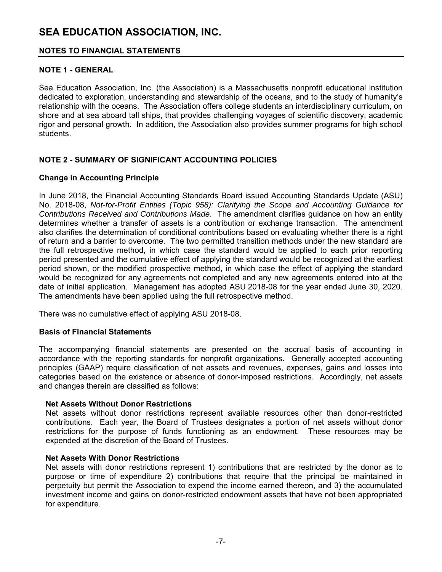#### **NOTES TO FINANCIAL STATEMENTS**

#### **NOTE 1 - GENERAL**

Sea Education Association, Inc. (the Association) is a Massachusetts nonprofit educational institution dedicated to exploration, understanding and stewardship of the oceans, and to the study of humanity's relationship with the oceans. The Association offers college students an interdisciplinary curriculum, on shore and at sea aboard tall ships, that provides challenging voyages of scientific discovery, academic rigor and personal growth. In addition, the Association also provides summer programs for high school students.

#### **NOTE 2 - SUMMARY OF SIGNIFICANT ACCOUNTING POLICIES**

#### **Change in Accounting Principle**

In June 2018, the Financial Accounting Standards Board issued Accounting Standards Update (ASU) No. 2018-08, *Not-for-Profit Entities (Topic 958): Clarifying the Scope and Accounting Guidance for Contributions Received and Contributions Made*. The amendment clarifies guidance on how an entity determines whether a transfer of assets is a contribution or exchange transaction. The amendment also clarifies the determination of conditional contributions based on evaluating whether there is a right of return and a barrier to overcome. The two permitted transition methods under the new standard are the full retrospective method, in which case the standard would be applied to each prior reporting period presented and the cumulative effect of applying the standard would be recognized at the earliest period shown, or the modified prospective method, in which case the effect of applying the standard would be recognized for any agreements not completed and any new agreements entered into at the date of initial application. Management has adopted ASU 2018-08 for the year ended June 30, 2020. The amendments have been applied using the full retrospective method.

There was no cumulative effect of applying ASU 2018-08.

#### **Basis of Financial Statements**

The accompanying financial statements are presented on the accrual basis of accounting in accordance with the reporting standards for nonprofit organizations. Generally accepted accounting principles (GAAP) require classification of net assets and revenues, expenses, gains and losses into categories based on the existence or absence of donor-imposed restrictions. Accordingly, net assets and changes therein are classified as follows:

#### **Net Assets Without Donor Restrictions**

Net assets without donor restrictions represent available resources other than donor-restricted contributions. Each year, the Board of Trustees designates a portion of net assets without donor restrictions for the purpose of funds functioning as an endowment. These resources may be expended at the discretion of the Board of Trustees.

#### **Net Assets With Donor Restrictions**

Net assets with donor restrictions represent 1) contributions that are restricted by the donor as to purpose or time of expenditure 2) contributions that require that the principal be maintained in perpetuity but permit the Association to expend the income earned thereon, and 3) the accumulated investment income and gains on donor-restricted endowment assets that have not been appropriated for expenditure.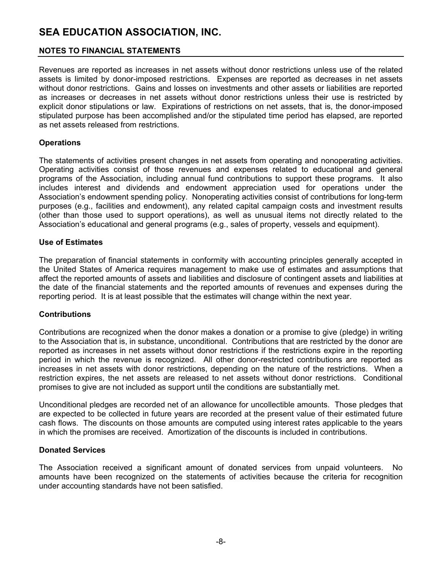#### **NOTES TO FINANCIAL STATEMENTS**

Revenues are reported as increases in net assets without donor restrictions unless use of the related assets is limited by donor-imposed restrictions. Expenses are reported as decreases in net assets without donor restrictions. Gains and losses on investments and other assets or liabilities are reported as increases or decreases in net assets without donor restrictions unless their use is restricted by explicit donor stipulations or law. Expirations of restrictions on net assets, that is, the donor-imposed stipulated purpose has been accomplished and/or the stipulated time period has elapsed, are reported as net assets released from restrictions.

#### **Operations**

The statements of activities present changes in net assets from operating and nonoperating activities. Operating activities consist of those revenues and expenses related to educational and general programs of the Association, including annual fund contributions to support these programs. It also includes interest and dividends and endowment appreciation used for operations under the Association's endowment spending policy. Nonoperating activities consist of contributions for long-term purposes (e.g., facilities and endowment), any related capital campaign costs and investment results (other than those used to support operations), as well as unusual items not directly related to the Association's educational and general programs (e.g., sales of property, vessels and equipment).

#### **Use of Estimates**

The preparation of financial statements in conformity with accounting principles generally accepted in the United States of America requires management to make use of estimates and assumptions that affect the reported amounts of assets and liabilities and disclosure of contingent assets and liabilities at the date of the financial statements and the reported amounts of revenues and expenses during the reporting period. It is at least possible that the estimates will change within the next year.

#### **Contributions**

Contributions are recognized when the donor makes a donation or a promise to give (pledge) in writing to the Association that is, in substance, unconditional. Contributions that are restricted by the donor are reported as increases in net assets without donor restrictions if the restrictions expire in the reporting period in which the revenue is recognized. All other donor-restricted contributions are reported as increases in net assets with donor restrictions, depending on the nature of the restrictions. When a restriction expires, the net assets are released to net assets without donor restrictions. Conditional promises to give are not included as support until the conditions are substantially met.

Unconditional pledges are recorded net of an allowance for uncollectible amounts. Those pledges that are expected to be collected in future years are recorded at the present value of their estimated future cash flows. The discounts on those amounts are computed using interest rates applicable to the years in which the promises are received. Amortization of the discounts is included in contributions.

#### **Donated Services**

The Association received a significant amount of donated services from unpaid volunteers. No amounts have been recognized on the statements of activities because the criteria for recognition under accounting standards have not been satisfied.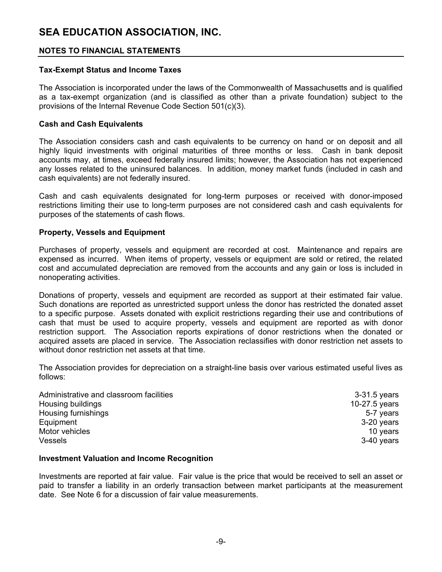#### **NOTES TO FINANCIAL STATEMENTS**

#### **Tax-Exempt Status and Income Taxes**

The Association is incorporated under the laws of the Commonwealth of Massachusetts and is qualified as a tax-exempt organization (and is classified as other than a private foundation) subject to the provisions of the Internal Revenue Code Section 501(c)(3).

#### **Cash and Cash Equivalents**

The Association considers cash and cash equivalents to be currency on hand or on deposit and all highly liquid investments with original maturities of three months or less. Cash in bank deposit accounts may, at times, exceed federally insured limits; however, the Association has not experienced any losses related to the uninsured balances. In addition, money market funds (included in cash and cash equivalents) are not federally insured.

Cash and cash equivalents designated for long-term purposes or received with donor-imposed restrictions limiting their use to long-term purposes are not considered cash and cash equivalents for purposes of the statements of cash flows.

#### **Property, Vessels and Equipment**

Purchases of property, vessels and equipment are recorded at cost. Maintenance and repairs are expensed as incurred. When items of property, vessels or equipment are sold or retired, the related cost and accumulated depreciation are removed from the accounts and any gain or loss is included in nonoperating activities.

Donations of property, vessels and equipment are recorded as support at their estimated fair value. Such donations are reported as unrestricted support unless the donor has restricted the donated asset to a specific purpose. Assets donated with explicit restrictions regarding their use and contributions of cash that must be used to acquire property, vessels and equipment are reported as with donor restriction support. The Association reports expirations of donor restrictions when the donated or acquired assets are placed in service. The Association reclassifies with donor restriction net assets to without donor restriction net assets at that time.

The Association provides for depreciation on a straight-line basis over various estimated useful lives as follows:

| Administrative and classroom facilities | 3-31.5 years  |
|-----------------------------------------|---------------|
| Housing buildings                       | 10-27.5 years |
| Housing furnishings                     | 5-7 years     |
| Equipment                               | 3-20 years    |
| Motor vehicles                          | 10 years      |
| Vessels                                 | 3-40 years    |

#### **Investment Valuation and Income Recognition**

Investments are reported at fair value. Fair value is the price that would be received to sell an asset or paid to transfer a liability in an orderly transaction between market participants at the measurement date. See Note 6 for a discussion of fair value measurements.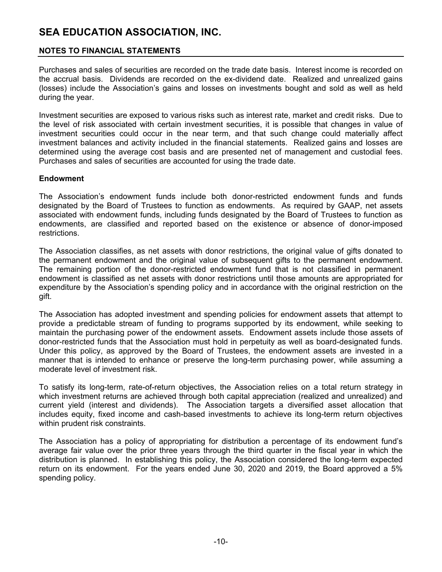#### **NOTES TO FINANCIAL STATEMENTS**

Purchases and sales of securities are recorded on the trade date basis. Interest income is recorded on the accrual basis. Dividends are recorded on the ex-dividend date. Realized and unrealized gains (losses) include the Association's gains and losses on investments bought and sold as well as held during the year.

Investment securities are exposed to various risks such as interest rate, market and credit risks. Due to the level of risk associated with certain investment securities, it is possible that changes in value of investment securities could occur in the near term, and that such change could materially affect investment balances and activity included in the financial statements. Realized gains and losses are determined using the average cost basis and are presented net of management and custodial fees. Purchases and sales of securities are accounted for using the trade date.

#### **Endowment**

The Association's endowment funds include both donor-restricted endowment funds and funds designated by the Board of Trustees to function as endowments. As required by GAAP, net assets associated with endowment funds, including funds designated by the Board of Trustees to function as endowments, are classified and reported based on the existence or absence of donor-imposed restrictions.

The Association classifies, as net assets with donor restrictions, the original value of gifts donated to the permanent endowment and the original value of subsequent gifts to the permanent endowment. The remaining portion of the donor-restricted endowment fund that is not classified in permanent endowment is classified as net assets with donor restrictions until those amounts are appropriated for expenditure by the Association's spending policy and in accordance with the original restriction on the gift.

The Association has adopted investment and spending policies for endowment assets that attempt to provide a predictable stream of funding to programs supported by its endowment, while seeking to maintain the purchasing power of the endowment assets. Endowment assets include those assets of donor-restricted funds that the Association must hold in perpetuity as well as board-designated funds. Under this policy, as approved by the Board of Trustees, the endowment assets are invested in a manner that is intended to enhance or preserve the long-term purchasing power, while assuming a moderate level of investment risk.

To satisfy its long-term, rate-of-return objectives, the Association relies on a total return strategy in which investment returns are achieved through both capital appreciation (realized and unrealized) and current yield (interest and dividends). The Association targets a diversified asset allocation that includes equity, fixed income and cash-based investments to achieve its long-term return objectives within prudent risk constraints.

The Association has a policy of appropriating for distribution a percentage of its endowment fund's average fair value over the prior three years through the third quarter in the fiscal year in which the distribution is planned. In establishing this policy, the Association considered the long-term expected return on its endowment. For the years ended June 30, 2020 and 2019, the Board approved a 5% spending policy.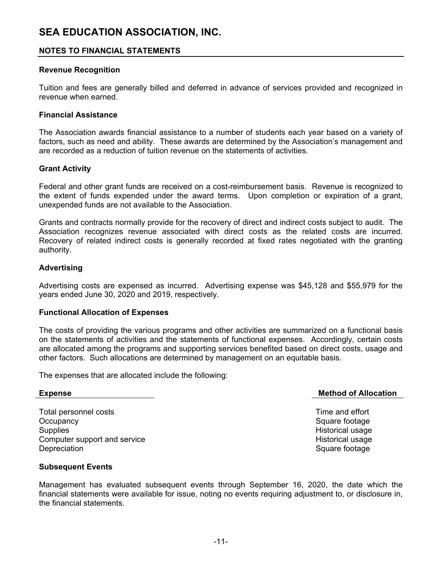#### **NOTES TO FINANCIAL STATEMENTS**

#### **Revenue Recognition**

Tuition and fees are generally billed and deferred in advance of services provided and recognized in revenue when earned.

#### **Financial Assistance**

The Association awards financial assistance to a number of students each year based on a variety of factors, such as need and ability. These awards are determined by the Association's management and are recorded as a reduction of tuition revenue on the statements of activities.

#### **Grant Activity**

Federal and other grant funds are received on a cost-reimbursement basis. Revenue is recognized to the extent of funds expended under the award terms. Upon completion or expiration of a grant, unexpended funds are not available to the Association.

Grants and contracts normally provide for the recovery of direct and indirect costs subject to audit. The Association recognizes revenue associated with direct costs as the related costs are incurred. Recovery of related indirect costs is generally recorded at fixed rates negotiated with the granting authority.

#### **Advertising**

Advertising costs are expensed as incurred. Advertising expense was \$45,128 and \$55,979 for the years ended June 30, 2020 and 2019, respectively.

#### **Functional Allocation of Expenses**

The costs of providing the various programs and other activities are summarized on a functional basis on the statements of activities and the statements of functional expenses. Accordingly, certain costs are allocated among the programs and supporting services benefited based on direct costs, usage and other factors. Such allocations are determined by management on an equitable basis.

The expenses that are allocated include the following:

Total personnel costs Time and effort Time and effort Time and effort Time and effort Occupancy Square footage Control of the Square footage Square footage Square footage Square footage Supplies **Historical usage** Computer support and service **Historical usage** Historical usage Depreciation **Solution** Square footage **Square footage** Square footage **Square footage** 

#### **Expense** Method of Allocation **Method of Allocation**

#### **Subsequent Events**

Management has evaluated subsequent events through September 16, 2020, the date which the financial statements were available for issue, noting no events requiring adjustment to, or disclosure in, the financial statements.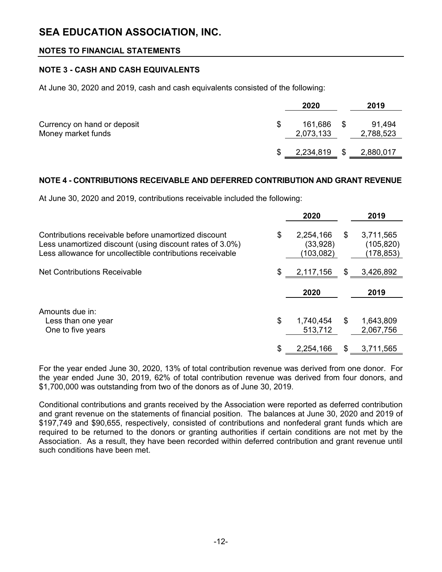#### **NOTES TO FINANCIAL STATEMENTS**

#### **NOTE 3 - CASH AND CASH EQUIVALENTS**

At June 30, 2020 and 2019, cash and cash equivalents consisted of the following:

|                                                   |   | 2020                 | 2019                |
|---------------------------------------------------|---|----------------------|---------------------|
| Currency on hand or deposit<br>Money market funds | S | 161,686<br>2,073,133 | 91,494<br>2,788,523 |
|                                                   |   | 2,234,819            | \$<br>2,880,017     |

#### **NOTE 4 - CONTRIBUTIONS RECEIVABLE AND DEFERRED CONTRIBUTION AND GRANT REVENUE**

At June 30, 2020 and 2019, contributions receivable included the following:

|                                                                                                                                                                               | 2020                                     |     | 2019                                  |
|-------------------------------------------------------------------------------------------------------------------------------------------------------------------------------|------------------------------------------|-----|---------------------------------------|
| Contributions receivable before unamortized discount<br>Less unamortized discount (using discount rates of 3.0%)<br>Less allowance for uncollectible contributions receivable | \$<br>2,254,166<br>(33,928)<br>(103,082) | \$  | 3,711,565<br>(105, 820)<br>(178, 853) |
| <b>Net Contributions Receivable</b>                                                                                                                                           | \$<br>2,117,156                          | \$. | 3,426,892                             |
|                                                                                                                                                                               | 2020                                     |     | 2019                                  |
|                                                                                                                                                                               |                                          |     |                                       |
| Amounts due in:<br>Less than one year<br>One to five years                                                                                                                    | \$<br>1,740,454<br>513,712               | S   | 1,643,809<br>2,067,756                |

For the year ended June 30, 2020, 13% of total contribution revenue was derived from one donor. For the year ended June 30, 2019, 62% of total contribution revenue was derived from four donors, and \$1,700,000 was outstanding from two of the donors as of June 30, 2019.

Conditional contributions and grants received by the Association were reported as deferred contribution and grant revenue on the statements of financial position. The balances at June 30, 2020 and 2019 of \$197,749 and \$90,655, respectively, consisted of contributions and nonfederal grant funds which are required to be returned to the donors or granting authorities if certain conditions are not met by the Association. As a result, they have been recorded within deferred contribution and grant revenue until such conditions have been met.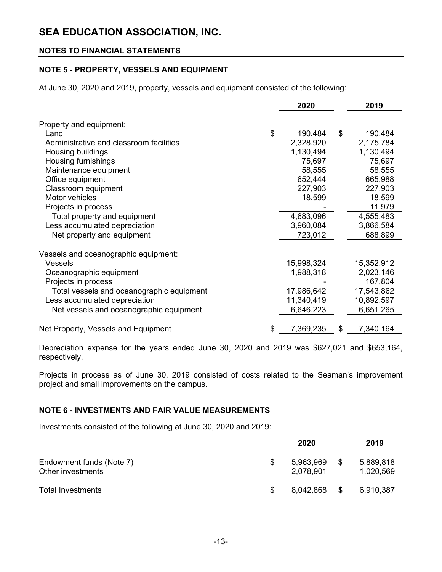#### **NOTES TO FINANCIAL STATEMENTS**

#### **NOTE 5 - PROPERTY, VESSELS AND EQUIPMENT**

At June 30, 2020 and 2019, property, vessels and equipment consisted of the following:

|                                           | 2020            | 2019            |
|-------------------------------------------|-----------------|-----------------|
| Property and equipment:                   |                 |                 |
| Land                                      | \$<br>190,484   | \$<br>190,484   |
| Administrative and classroom facilities   | 2,328,920       | 2,175,784       |
| Housing buildings                         | 1,130,494       | 1,130,494       |
| Housing furnishings                       | 75,697          | 75,697          |
| Maintenance equipment                     | 58,555          | 58,555          |
| Office equipment                          | 652,444         | 665,988         |
| Classroom equipment                       | 227,903         | 227,903         |
| Motor vehicles                            | 18,599          | 18,599          |
| Projects in process                       |                 | 11,979          |
| Total property and equipment              | 4,683,096       | 4,555,483       |
| Less accumulated depreciation             | 3,960,084       | 3,866,584       |
| Net property and equipment                | 723,012         | 688,899         |
| Vessels and oceanographic equipment:      |                 |                 |
| <b>Vessels</b>                            | 15,998,324      | 15,352,912      |
| Oceanographic equipment                   | 1,988,318       | 2,023,146       |
| Projects in process                       |                 | 167,804         |
| Total vessels and oceanographic equipment | 17,986,642      | 17,543,862      |
| Less accumulated depreciation             | 11,340,419      | 10,892,597      |
| Net vessels and oceanographic equipment   | 6,646,223       | 6,651,265       |
| Net Property, Vessels and Equipment       | \$<br>7,369,235 | \$<br>7,340,164 |
|                                           |                 |                 |

Depreciation expense for the years ended June 30, 2020 and 2019 was \$627,021 and \$653,164, respectively.

Projects in process as of June 30, 2019 consisted of costs related to the Seaman's improvement project and small improvements on the campus.

#### **NOTE 6 - INVESTMENTS AND FAIR VALUE MEASUREMENTS**

Investments consisted of the following at June 30, 2020 and 2019:

|                                               |   | 2020                   |    | 2019                   |
|-----------------------------------------------|---|------------------------|----|------------------------|
| Endowment funds (Note 7)<br>Other investments | S | 5,963,969<br>2,078,901 | \$ | 5,889,818<br>1,020,569 |
| Total Investments                             |   | 8,042,868              | S  | 6,910,387              |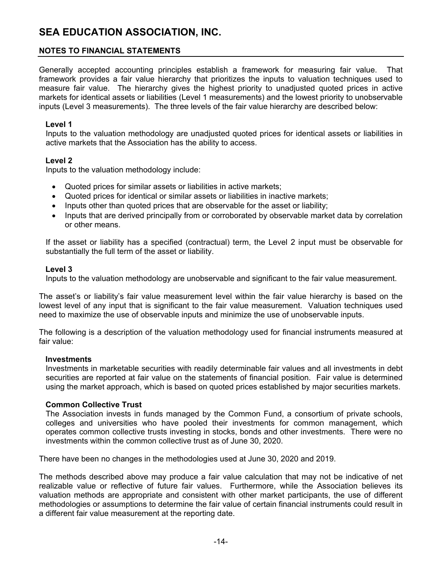#### **NOTES TO FINANCIAL STATEMENTS**

Generally accepted accounting principles establish a framework for measuring fair value. That framework provides a fair value hierarchy that prioritizes the inputs to valuation techniques used to measure fair value. The hierarchy gives the highest priority to unadjusted quoted prices in active markets for identical assets or liabilities (Level 1 measurements) and the lowest priority to unobservable inputs (Level 3 measurements). The three levels of the fair value hierarchy are described below:

#### **Level 1**

Inputs to the valuation methodology are unadjusted quoted prices for identical assets or liabilities in active markets that the Association has the ability to access.

#### **Level 2**

Inputs to the valuation methodology include:

- Quoted prices for similar assets or liabilities in active markets;
- Quoted prices for identical or similar assets or liabilities in inactive markets;
- $\bullet$  Inputs other than quoted prices that are observable for the asset or liability;
- Inputs that are derived principally from or corroborated by observable market data by correlation or other means.

If the asset or liability has a specified (contractual) term, the Level 2 input must be observable for substantially the full term of the asset or liability.

#### **Level 3**

Inputs to the valuation methodology are unobservable and significant to the fair value measurement.

The asset's or liability's fair value measurement level within the fair value hierarchy is based on the lowest level of any input that is significant to the fair value measurement. Valuation techniques used need to maximize the use of observable inputs and minimize the use of unobservable inputs.

The following is a description of the valuation methodology used for financial instruments measured at fair value:

#### **Investments**

Investments in marketable securities with readily determinable fair values and all investments in debt securities are reported at fair value on the statements of financial position. Fair value is determined using the market approach, which is based on quoted prices established by major securities markets.

#### **Common Collective Trust**

The Association invests in funds managed by the Common Fund, a consortium of private schools, colleges and universities who have pooled their investments for common management, which operates common collective trusts investing in stocks, bonds and other investments. There were no investments within the common collective trust as of June 30, 2020.

There have been no changes in the methodologies used at June 30, 2020 and 2019.

The methods described above may produce a fair value calculation that may not be indicative of net realizable value or reflective of future fair values. Furthermore, while the Association believes its valuation methods are appropriate and consistent with other market participants, the use of different methodologies or assumptions to determine the fair value of certain financial instruments could result in a different fair value measurement at the reporting date.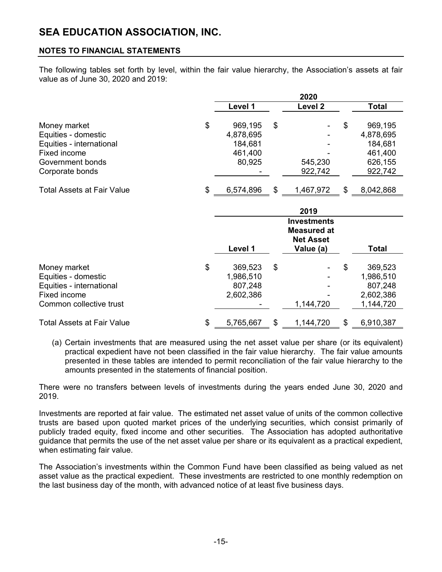#### **NOTES TO FINANCIAL STATEMENTS**

The following tables set forth by level, within the fair value hierarchy, the Association's assets at fair value as of June 30, 2020 and 2019:

|                                   |                 | 2020                                                         |                 |
|-----------------------------------|-----------------|--------------------------------------------------------------|-----------------|
|                                   | Level 1         | Level 2                                                      | <b>Total</b>    |
| Money market                      | \$<br>969,195   | \$                                                           | \$<br>969,195   |
| Equities - domestic               | 4,878,695       |                                                              | 4,878,695       |
| Equities - international          | 184,681         |                                                              | 184,681         |
| Fixed income                      | 461,400         |                                                              | 461,400         |
| Government bonds                  | 80,925          | 545,230                                                      | 626,155         |
| Corporate bonds                   |                 | 922,742                                                      | 922,742         |
| <b>Total Assets at Fair Value</b> | \$<br>6,574,896 | \$<br>1,467,972                                              | \$<br>8,042,868 |
|                                   |                 | 2019                                                         |                 |
|                                   |                 | <b>Investments</b><br><b>Measured at</b><br><b>Net Asset</b> |                 |
|                                   | Level 1         | Value (a)                                                    | Total           |
| Money market                      | \$<br>369,523   | \$                                                           | \$<br>369,523   |
| Equities - domestic               | 1,986,510       |                                                              | 1,986,510       |
| Equities - international          | 807,248         |                                                              | 807,248         |
| Fixed income                      | 2,602,386       |                                                              | 2,602,386       |
| Common collective trust           |                 | 1,144,720                                                    | 1,144,720       |
| <b>Total Assets at Fair Value</b> | \$<br>5,765,667 | \$<br>1,144,720                                              | \$<br>6,910,387 |

(a) Certain investments that are measured using the net asset value per share (or its equivalent) practical expedient have not been classified in the fair value hierarchy. The fair value amounts presented in these tables are intended to permit reconciliation of the fair value hierarchy to the amounts presented in the statements of financial position.

There were no transfers between levels of investments during the years ended June 30, 2020 and 2019.

Investments are reported at fair value. The estimated net asset value of units of the common collective trusts are based upon quoted market prices of the underlying securities, which consist primarily of publicly traded equity, fixed income and other securities. The Association has adopted authoritative guidance that permits the use of the net asset value per share or its equivalent as a practical expedient, when estimating fair value.

The Association's investments within the Common Fund have been classified as being valued as net asset value as the practical expedient. These investments are restricted to one monthly redemption on the last business day of the month, with advanced notice of at least five business days.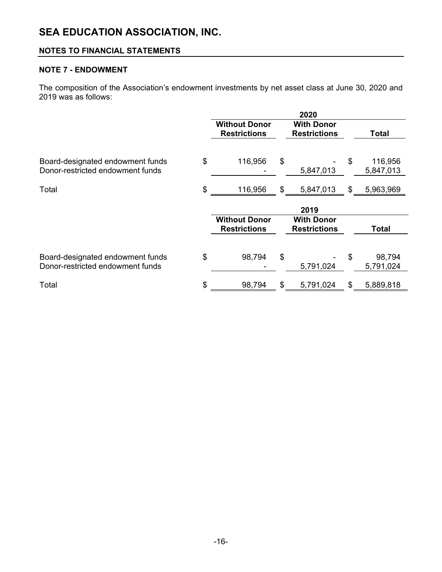#### **NOTES TO FINANCIAL STATEMENTS**

### **NOTE 7 - ENDOWMENT**

The composition of the Association's endowment investments by net asset class at June 30, 2020 and 2019 was as follows:

|                                                                      |                                             | 2020                                     |                            |
|----------------------------------------------------------------------|---------------------------------------------|------------------------------------------|----------------------------|
|                                                                      | <b>Without Donor</b><br><b>Restrictions</b> | <b>With Donor</b><br><b>Restrictions</b> | <b>Total</b>               |
| Board-designated endowment funds<br>Donor-restricted endowment funds | \$<br>116,956                               | \$<br>5,847,013                          | \$<br>116,956<br>5,847,013 |
| Total                                                                | \$<br>116,956                               | \$<br>5,847,013                          | \$<br>5,963,969            |
|                                                                      |                                             | 2019                                     |                            |
|                                                                      | <b>Without Donor</b><br><b>Restrictions</b> | <b>With Donor</b><br><b>Restrictions</b> | Total                      |
|                                                                      |                                             |                                          |                            |
| Board-designated endowment funds<br>Donor-restricted endowment funds | \$<br>98,794                                | \$<br>5,791,024                          | \$<br>98,794<br>5,791,024  |
| Total                                                                | \$<br>98,794                                | \$<br>5,791,024                          | \$<br>5,889,818            |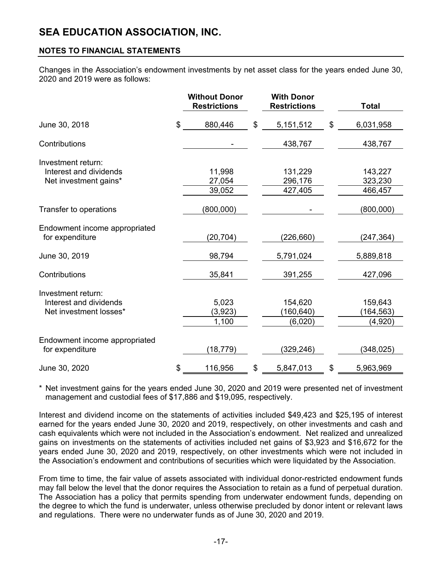#### **NOTES TO FINANCIAL STATEMENTS**

Changes in the Association's endowment investments by net asset class for the years ended June 30, 2020 and 2019 were as follows:

|                                                                        |                           | <b>Without Donor</b><br><b>Restrictions</b> | <b>With Donor</b><br><b>Restrictions</b> | <b>Total</b>                     |
|------------------------------------------------------------------------|---------------------------|---------------------------------------------|------------------------------------------|----------------------------------|
| June 30, 2018                                                          | $\boldsymbol{\mathsf{S}}$ | 880,446                                     | \$<br>5,151,512                          | \$<br>6,031,958                  |
| Contributions                                                          |                           |                                             | 438,767                                  | 438,767                          |
| Investment return:<br>Interest and dividends<br>Net investment gains*  |                           | 11,998<br>27,054<br>39,052                  | 131,229<br>296,176<br>427,405            | 143,227<br>323,230<br>466,457    |
| Transfer to operations                                                 |                           | (800,000)                                   |                                          | (800,000)                        |
| Endowment income appropriated<br>for expenditure                       |                           | (20, 704)                                   | (226,660)                                | (247, 364)                       |
| June 30, 2019                                                          |                           | 98,794                                      | 5,791,024                                | 5,889,818                        |
| Contributions                                                          |                           | 35,841                                      | 391,255                                  | 427,096                          |
| Investment return:<br>Interest and dividends<br>Net investment losses* |                           | 5,023<br>(3,923)<br>1,100                   | 154,620<br>(160, 640)<br>(6,020)         | 159,643<br>(164, 563)<br>(4,920) |
| Endowment income appropriated<br>for expenditure                       |                           | (18, 779)                                   | (329, 246)                               | (348, 025)                       |
| June 30, 2020                                                          | \$                        | 116,956                                     | \$<br>5,847,013                          | \$<br>5,963,969                  |

\* Net investment gains for the years ended June 30, 2020 and 2019 were presented net of investment management and custodial fees of \$17,886 and \$19,095, respectively.

Interest and dividend income on the statements of activities included \$49,423 and \$25,195 of interest earned for the years ended June 30, 2020 and 2019, respectively, on other investments and cash and cash equivalents which were not included in the Association's endowment. Net realized and unrealized gains on investments on the statements of activities included net gains of \$3,923 and \$16,672 for the years ended June 30, 2020 and 2019, respectively, on other investments which were not included in the Association's endowment and contributions of securities which were liquidated by the Association.

From time to time, the fair value of assets associated with individual donor-restricted endowment funds may fall below the level that the donor requires the Association to retain as a fund of perpetual duration. The Association has a policy that permits spending from underwater endowment funds, depending on the degree to which the fund is underwater, unless otherwise precluded by donor intent or relevant laws and regulations. There were no underwater funds as of June 30, 2020 and 2019.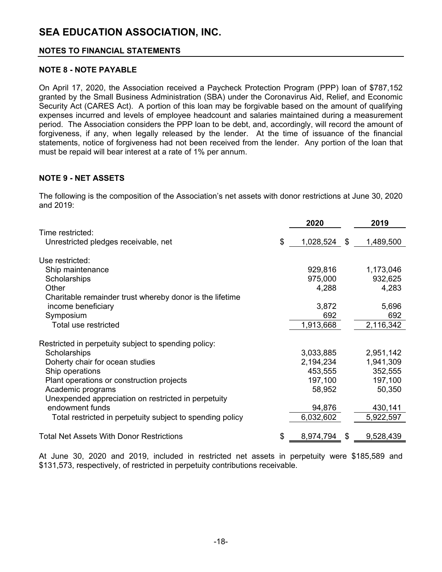#### **NOTES TO FINANCIAL STATEMENTS**

#### **NOTE 8 - NOTE PAYABLE**

On April 17, 2020, the Association received a Paycheck Protection Program (PPP) loan of \$787,152 granted by the Small Business Administration (SBA) under the Coronavirus Aid, Relief, and Economic Security Act (CARES Act). A portion of this loan may be forgivable based on the amount of qualifying expenses incurred and levels of employee headcount and salaries maintained during a measurement period. The Association considers the PPP loan to be debt, and, accordingly, will record the amount of forgiveness, if any, when legally released by the lender. At the time of issuance of the financial statements, notice of forgiveness had not been received from the lender. Any portion of the loan that must be repaid will bear interest at a rate of 1% per annum.

#### **NOTE 9 - NET ASSETS**

The following is the composition of the Association's net assets with donor restrictions at June 30, 2020 and 2019:

|                                                           | 2020            | 2019            |
|-----------------------------------------------------------|-----------------|-----------------|
| Time restricted:                                          |                 |                 |
| Unrestricted pledges receivable, net                      | \$<br>1,028,524 | \$<br>1,489,500 |
| Use restricted:                                           |                 |                 |
| Ship maintenance                                          | 929,816         | 1,173,046       |
| Scholarships                                              | 975,000         | 932,625         |
| Other                                                     | 4,288           | 4,283           |
| Charitable remainder trust whereby donor is the lifetime  |                 |                 |
| income beneficiary                                        | 3,872           | 5,696           |
| Symposium                                                 | 692             | 692             |
| Total use restricted                                      | 1,913,668       | 2,116,342       |
| Restricted in perpetuity subject to spending policy:      |                 |                 |
| Scholarships                                              | 3,033,885       | 2,951,142       |
| Doherty chair for ocean studies                           | 2,194,234       | 1,941,309       |
| Ship operations                                           | 453,555         | 352,555         |
| Plant operations or construction projects                 | 197,100         | 197,100         |
| Academic programs                                         | 58,952          | 50,350          |
| Unexpended appreciation on restricted in perpetuity       |                 |                 |
| endowment funds                                           | 94,876          | 430,141         |
| Total restricted in perpetuity subject to spending policy | 6,032,602       | 5,922,597       |
|                                                           |                 |                 |
| <b>Total Net Assets With Donor Restrictions</b>           | \$<br>8,974,794 | \$<br>9,528,439 |

At June 30, 2020 and 2019, included in restricted net assets in perpetuity were \$185,589 and \$131,573, respectively, of restricted in perpetuity contributions receivable.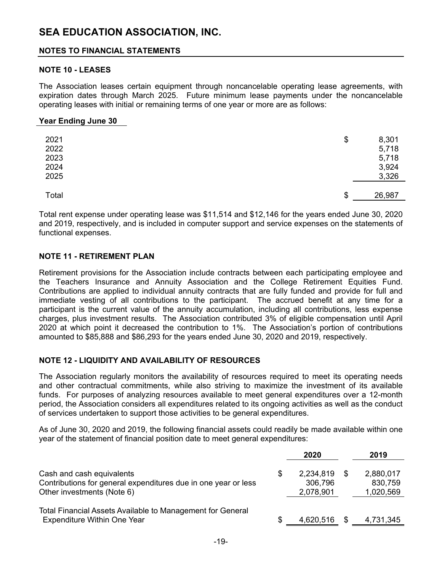#### **NOTES TO FINANCIAL STATEMENTS**

#### **NOTE 10 - LEASES**

The Association leases certain equipment through noncancelable operating lease agreements, with expiration dates through March 2025. Future minimum lease payments under the noncancelable operating leases with initial or remaining terms of one year or more are as follows:

#### **Year Ending June 30**

| 2021<br>2022<br>2023<br>2024<br>2025 | \$<br>8,301<br>5,718<br>5,718<br>3,924<br>3,326 |
|--------------------------------------|-------------------------------------------------|
| Total                                | \$<br>26,987                                    |

Total rent expense under operating lease was \$11,514 and \$12,146 for the years ended June 30, 2020 and 2019, respectively, and is included in computer support and service expenses on the statements of functional expenses.

#### **NOTE 11 - RETIREMENT PLAN**

Retirement provisions for the Association include contracts between each participating employee and the Teachers Insurance and Annuity Association and the College Retirement Equities Fund. Contributions are applied to individual annuity contracts that are fully funded and provide for full and immediate vesting of all contributions to the participant. The accrued benefit at any time for a participant is the current value of the annuity accumulation, including all contributions, less expense charges, plus investment results. The Association contributed 3% of eligible compensation until April 2020 at which point it decreased the contribution to 1%. The Association's portion of contributions amounted to \$85,888 and \$86,293 for the years ended June 30, 2020 and 2019, respectively.

#### **NOTE 12 - LIQUIDITY AND AVAILABILITY OF RESOURCES**

The Association regularly monitors the availability of resources required to meet its operating needs and other contractual commitments, while also striving to maximize the investment of its available funds. For purposes of analyzing resources available to meet general expenditures over a 12-month period, the Association considers all expenditures related to its ongoing activities as well as the conduct of services undertaken to support those activities to be general expenditures.

As of June 30, 2020 and 2019, the following financial assets could readily be made available within one year of the statement of financial position date to meet general expenditures:

|                                                                                                                           | 2020                                    | 2019                              |
|---------------------------------------------------------------------------------------------------------------------------|-----------------------------------------|-----------------------------------|
| Cash and cash equivalents<br>Contributions for general expenditures due in one year or less<br>Other investments (Note 6) | \$<br>2,234,819<br>306,796<br>2,078,901 | 2,880,017<br>830,759<br>1,020,569 |
| Total Financial Assets Available to Management for General<br><b>Expenditure Within One Year</b>                          | 4,620,516                               | 4,731,345                         |